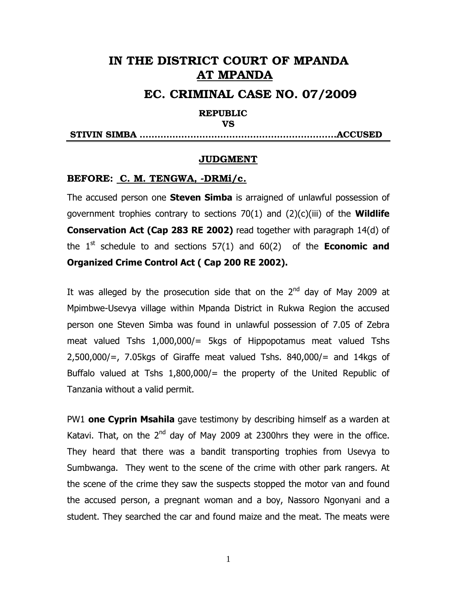# IN THE DISTRICT COURT OF MPANDA AT MPANDA

## EC. CRIMINAL CASE NO. 07/2009

### REPUBLIC

#### VS

STIVIN SIMBA ……………..………………….………………………ACCUSED

#### **JUDGMENT**

#### BEFORE: C. M. TENGWA, -DRMi/c.

The accused person one **Steven Simba** is arraigned of unlawful possession of government trophies contrary to sections 70(1) and (2)(c)(iii) of the **Wildlife Conservation Act (Cap 283 RE 2002)** read together with paragraph 14(d) of the  $1<sup>st</sup>$  schedule to and sections  $57(1)$  and  $60(2)$  of the **Economic and Organized Crime Control Act ( Cap 200 RE 2002).** 

It was alleged by the prosecution side that on the  $2^{nd}$  day of May 2009 at Mpimbwe-Usevya village within Mpanda District in Rukwa Region the accused person one Steven Simba was found in unlawful possession of 7.05 of Zebra meat valued Tshs 1,000,000/= 5kgs of Hippopotamus meat valued Tshs  $2,500,000/$ =,  $7.05$ kgs of Giraffe meat valued Tshs. 840,000/= and 14kgs of Buffalo valued at Tshs  $1,800,000/$  the property of the United Republic of Tanzania without a valid permit.

PW1 **one Cyprin Msahila** gave testimony by describing himself as a warden at Katavi. That, on the  $2<sup>nd</sup>$  day of May 2009 at 2300hrs they were in the office. They heard that there was a bandit transporting trophies from Usevya to Sumbwanga. They went to the scene of the crime with other park rangers. At the scene of the crime they saw the suspects stopped the motor van and found the accused person, a pregnant woman and a boy, Nassoro Ngonyani and a student. They searched the car and found maize and the meat. The meats were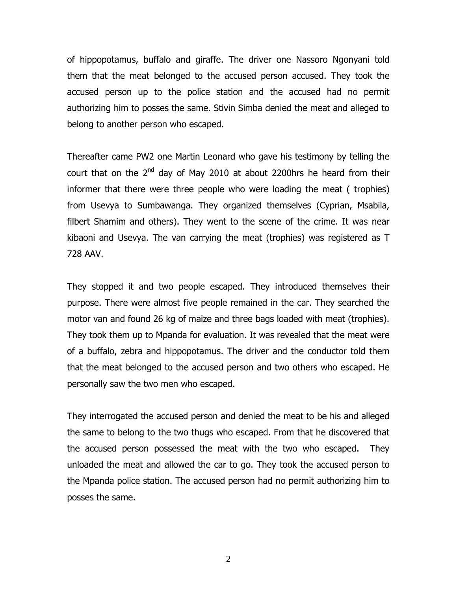of hippopotamus, buffalo and giraffe. The driver one Nassoro Ngonyani told them that the meat belonged to the accused person accused. They took the accused person up to the police station and the accused had no permit authorizing him to posses the same. Stivin Simba denied the meat and alleged to belong to another person who escaped.

Thereafter came PW2 one Martin Leonard who gave his testimony by telling the court that on the  $2^{nd}$  day of May 2010 at about 2200hrs he heard from their informer that there were three people who were loading the meat ( trophies) from Usevya to Sumbawanga. They organized themselves (Cyprian, Msabila, filbert Shamim and others). They went to the scene of the crime. It was near kibaoni and Usevya. The van carrying the meat (trophies) was registered as T 728 AAV.

They stopped it and two people escaped. They introduced themselves their purpose. There were almost five people remained in the car. They searched the motor van and found 26 kg of maize and three bags loaded with meat (trophies). They took them up to Mpanda for evaluation. It was revealed that the meat were of a buffalo, zebra and hippopotamus. The driver and the conductor told them that the meat belonged to the accused person and two others who escaped. He personally saw the two men who escaped.

They interrogated the accused person and denied the meat to be his and alleged the same to belong to the two thugs who escaped. From that he discovered that the accused person possessed the meat with the two who escaped. They unloaded the meat and allowed the car to go. They took the accused person to the Mpanda police station. The accused person had no permit authorizing him to posses the same.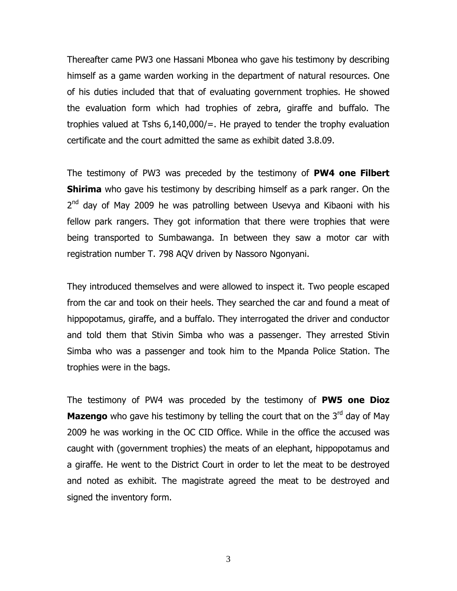Thereafter came PW3 one Hassani Mbonea who gave his testimony by describing himself as a game warden working in the department of natural resources. One of his duties included that that of evaluating government trophies. He showed the evaluation form which had trophies of zebra, giraffe and buffalo. The trophies valued at Tshs 6,140,000/=. He prayed to tender the trophy evaluation certificate and the court admitted the same as exhibit dated 3.8.09.

The testimony of PW3 was preceded by the testimony of **PW4 one Filbert Shirima** who gave his testimony by describing himself as a park ranger. On the 2<sup>nd</sup> day of May 2009 he was patrolling between Usevya and Kibaoni with his fellow park rangers. They got information that there were trophies that were being transported to Sumbawanga. In between they saw a motor car with registration number T. 798 AQV driven by Nassoro Ngonyani.

They introduced themselves and were allowed to inspect it. Two people escaped from the car and took on their heels. They searched the car and found a meat of hippopotamus, giraffe, and a buffalo. They interrogated the driver and conductor and told them that Stivin Simba who was a passenger. They arrested Stivin Simba who was a passenger and took him to the Mpanda Police Station. The trophies were in the bags.

The testimony of PW4 was proceded by the testimony of **PW5 one Dioz Mazengo** who gave his testimony by telling the court that on the 3<sup>rd</sup> day of May 2009 he was working in the OC CID Office. While in the office the accused was caught with (government trophies) the meats of an elephant, hippopotamus and a giraffe. He went to the District Court in order to let the meat to be destroyed and noted as exhibit. The magistrate agreed the meat to be destroyed and signed the inventory form.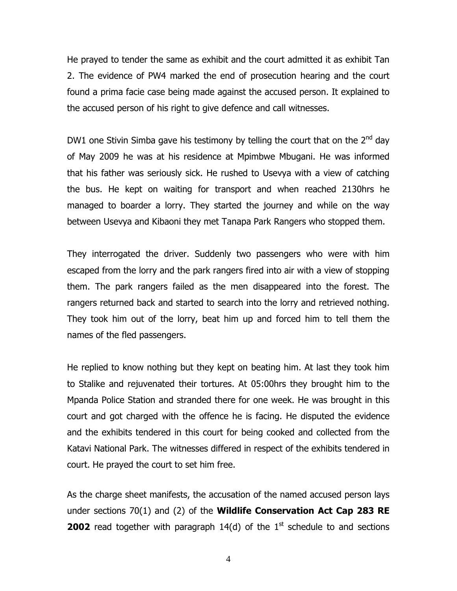He prayed to tender the same as exhibit and the court admitted it as exhibit Tan 2. The evidence of PW4 marked the end of prosecution hearing and the court found a prima facie case being made against the accused person. It explained to the accused person of his right to give defence and call witnesses.

DW1 one Stivin Simba gave his testimony by telling the court that on the  $2^{nd}$  day of May 2009 he was at his residence at Mpimbwe Mbugani. He was informed that his father was seriously sick. He rushed to Usevya with a view of catching the bus. He kept on waiting for transport and when reached 2130hrs he managed to boarder a lorry. They started the journey and while on the way between Usevya and Kibaoni they met Tanapa Park Rangers who stopped them.

They interrogated the driver. Suddenly two passengers who were with him escaped from the lorry and the park rangers fired into air with a view of stopping them. The park rangers failed as the men disappeared into the forest. The rangers returned back and started to search into the lorry and retrieved nothing. They took him out of the lorry, beat him up and forced him to tell them the names of the fled passengers.

He replied to know nothing but they kept on beating him. At last they took him to Stalike and rejuvenated their tortures. At 05:00hrs they brought him to the Mpanda Police Station and stranded there for one week. He was brought in this court and got charged with the offence he is facing. He disputed the evidence and the exhibits tendered in this court for being cooked and collected from the Katavi National Park. The witnesses differed in respect of the exhibits tendered in court. He prayed the court to set him free.

As the charge sheet manifests, the accusation of the named accused person lays under sections 70(1) and (2) of the **Wildlife Conservation Act Cap 283 RE 2002** read together with paragraph  $14(d)$  of the  $1<sup>st</sup>$  schedule to and sections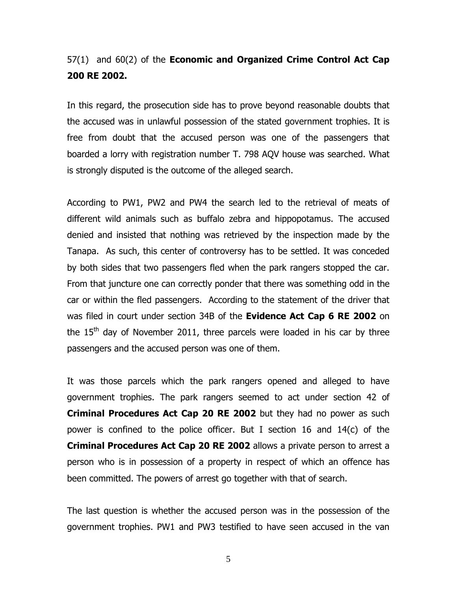# 57(1) and 60(2) of the **Economic and Organized Crime Control Act Cap 200 RE 2002.**

In this regard, the prosecution side has to prove beyond reasonable doubts that the accused was in unlawful possession of the stated government trophies. It is free from doubt that the accused person was one of the passengers that boarded a lorry with registration number T. 798 AQV house was searched. What is strongly disputed is the outcome of the alleged search.

According to PW1, PW2 and PW4 the search led to the retrieval of meats of different wild animals such as buffalo zebra and hippopotamus. The accused denied and insisted that nothing was retrieved by the inspection made by the Tanapa. As such, this center of controversy has to be settled. It was conceded by both sides that two passengers fled when the park rangers stopped the car. From that juncture one can correctly ponder that there was something odd in the car or within the fled passengers. According to the statement of the driver that was filed in court under section 34B of the **Evidence Act Cap 6 RE 2002** on the  $15<sup>th</sup>$  day of November 2011, three parcels were loaded in his car by three passengers and the accused person was one of them.

It was those parcels which the park rangers opened and alleged to have government trophies. The park rangers seemed to act under section 42 of **Criminal Procedures Act Cap 20 RE 2002** but they had no power as such power is confined to the police officer. But I section 16 and 14(c) of the **Criminal Procedures Act Cap 20 RE 2002** allows a private person to arrest a person who is in possession of a property in respect of which an offence has been committed. The powers of arrest go together with that of search.

The last question is whether the accused person was in the possession of the government trophies. PW1 and PW3 testified to have seen accused in the van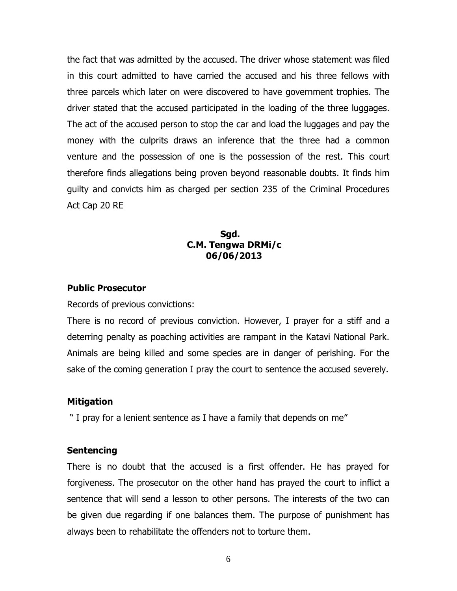the fact that was admitted by the accused. The driver whose statement was filed in this court admitted to have carried the accused and his three fellows with three parcels which later on were discovered to have government trophies. The driver stated that the accused participated in the loading of the three luggages. The act of the accused person to stop the car and load the luggages and pay the money with the culprits draws an inference that the three had a common venture and the possession of one is the possession of the rest. This court therefore finds allegations being proven beyond reasonable doubts. It finds him guilty and convicts him as charged per section 235 of the Criminal Procedures Act Cap 20 RE

## **Sgd. And the state of the Sgd. C.M. Tengwa DRMi/c 06/06/2013**

### **Public Prosecutor**

Records of previous convictions:

There is no record of previous conviction. However, I prayer for a stiff and a deterring penalty as poaching activities are rampant in the Katavi National Park. Animals are being killed and some species are in danger of perishing. For the sake of the coming generation I pray the court to sentence the accused severely.

### **Mitigation**

" I pray for a lenient sentence as I have a family that depends on me"

#### **Sentencing**

There is no doubt that the accused is a first offender. He has prayed for forgiveness. The prosecutor on the other hand has prayed the court to inflict a sentence that will send a lesson to other persons. The interests of the two can be given due regarding if one balances them. The purpose of punishment has always been to rehabilitate the offenders not to torture them.